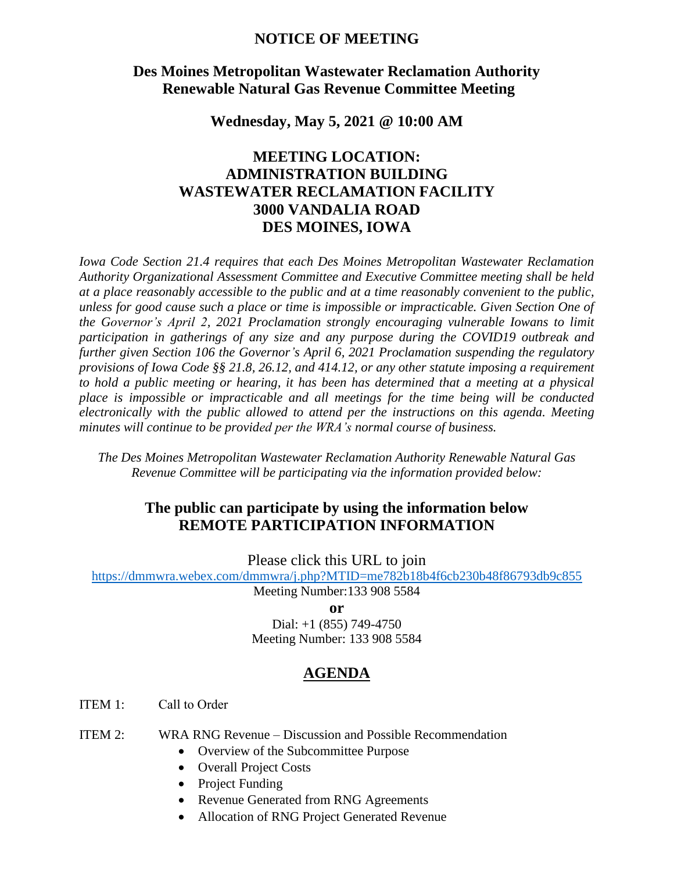#### **NOTICE OF MEETING**

### **Des Moines Metropolitan Wastewater Reclamation Authority Renewable Natural Gas Revenue Committee Meeting**

**Wednesday, May 5, 2021 @ 10:00 AM**

# **MEETING LOCATION: ADMINISTRATION BUILDING WASTEWATER RECLAMATION FACILITY 3000 VANDALIA ROAD DES MOINES, IOWA**

*Iowa Code Section 21.4 requires that each Des Moines Metropolitan Wastewater Reclamation Authority Organizational Assessment Committee and Executive Committee meeting shall be held at a place reasonably accessible to the public and at a time reasonably convenient to the public, unless for good cause such a place or time is impossible or impracticable. Given Section One of the Governor's April 2, 2021 Proclamation strongly encouraging vulnerable Iowans to limit participation in gatherings of any size and any purpose during the COVID19 outbreak and further given Section 106 the Governor's April 6, 2021 Proclamation suspending the regulatory provisions of Iowa Code §§ 21.8, 26.12, and 414.12, or any other statute imposing a requirement to hold a public meeting or hearing, it has been has determined that a meeting at a physical place is impossible or impracticable and all meetings for the time being will be conducted electronically with the public allowed to attend per the instructions on this agenda. Meeting minutes will continue to be provided per the WRA's normal course of business.* 

*The Des Moines Metropolitan Wastewater Reclamation Authority Renewable Natural Gas Revenue Committee will be participating via the information provided below:*

### **The public can participate by using the information below REMOTE PARTICIPATION INFORMATION**

Please click this URL to join

<https://dmmwra.webex.com/dmmwra/j.php?MTID=me782b18b4f6cb230b48f86793db9c855>

Meeting Number:133 908 5584

**or**

Dial: +1 (855) 749-4750 Meeting Number: 133 908 5584

## **AGENDA**

ITEM 1: Call to Order

- ITEM 2: WRA RNG Revenue Discussion and Possible Recommendation
	- Overview of the Subcommittee Purpose
	- Overall Project Costs
	- Project Funding
	- Revenue Generated from RNG Agreements
	- Allocation of RNG Project Generated Revenue